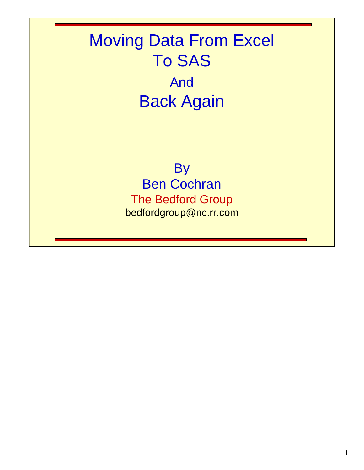# Moving Data From Excel To SAS And Back Again

**By** Ben Cochran The Bedford Group bedfordgroup@nc.rr.com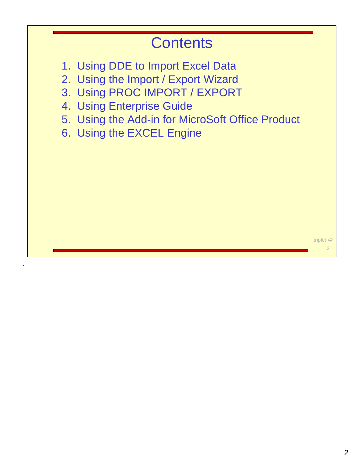#### **Contents**

- 1. Using DDE to Import Excel Data
- 2. Using the Import / Export Wizard
- 3. Using PROC IMPORT / EXPORT
- 4. Using Enterprise Guide
- 5. Using the Add-in for MicroSoft Office Product
- 6. Using the EXCEL Engine

.

triplet Ö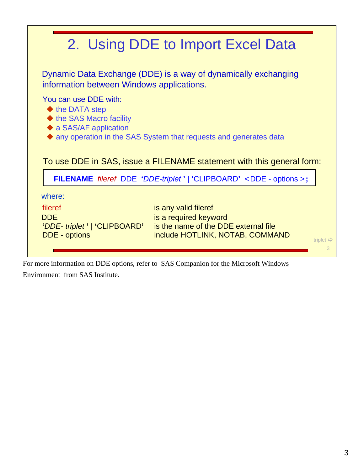|                                                                                    | 2. Using DDE to Import Excel Data                                                                                                           |  |
|------------------------------------------------------------------------------------|---------------------------------------------------------------------------------------------------------------------------------------------|--|
| information between Windows applications.                                          | Dynamic Data Exchange (DDE) is a way of dynamically exchanging                                                                              |  |
| You can use DDE with:<br>$\blacklozenge$ the DATA step<br>♦ the SAS Macro facility |                                                                                                                                             |  |
| $\blacklozenge$ a SAS/AF application                                               | A any operation in the SAS System that requests and generates data<br>To use DDE in SAS, issue a FILENAME statement with this general form: |  |
|                                                                                    | FILENAME fileref DDE 'DDE-triplet'   'CLIPBOARD' <dde -="" options="">;</dde>                                                               |  |

For more information on DDE options, refer to SAS Companion for the Microsoft Windows Environment from SAS Institute.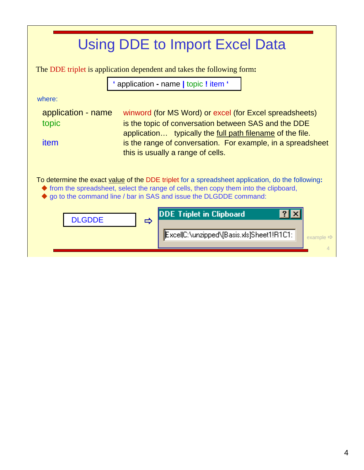The DDE triplet is application dependent and takes the following form**:**

**'** application **-** name **|** topic **!** item **'**

where:

| application - name | winword (for MS Word) or excel (for Excel spreadsheets)     |
|--------------------|-------------------------------------------------------------|
| topic              | is the topic of conversation between SAS and the DDE        |
|                    | application typically the full path filename of the file.   |
| <i>item</i>        | is the range of conversation. For example, in a spreadsheet |
|                    | this is usually a range of cells.                           |

To determine the exact value of the DDE triplet for a spreadsheet application, do the following**:**

- $\blacklozenge$  from the spreadsheet, select the range of cells, then copy them into the clipboard,
- go to the command line / bar in SAS and issue the DLGDDE command:

| <b>DLGDDE</b> | DDE Triplet in Clipboard<br>m<br>ExcellC:\unzipped\[Basis.xls]Sheet1!R1C1: | example $\Rightarrow$ |
|---------------|----------------------------------------------------------------------------|-----------------------|
|---------------|----------------------------------------------------------------------------|-----------------------|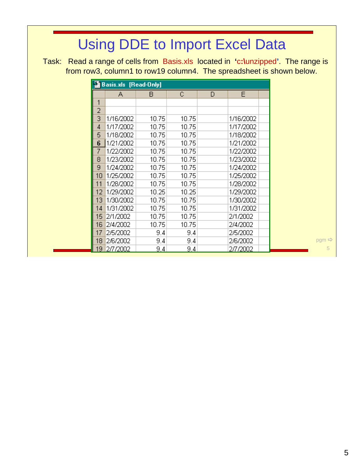Task: Read a range of cells from Basis.xls located in **'**c**:\**unzipped**'**. The range is from row3, column1 to row19 column4. The spreadsheet is shown below.

|    | <b>Basis.xls</b> [Read-Only] |       |       |   |           |  |
|----|------------------------------|-------|-------|---|-----------|--|
|    | А                            | в     | C     | D | E         |  |
| 1  |                              |       |       |   |           |  |
| 2  |                              |       |       |   |           |  |
| З  | 1/16/2002                    | 10.75 | 10.75 |   | 1/16/2002 |  |
| 4  | 1/17/2002                    | 10.75 | 10.75 |   | 1/17/2002 |  |
| 5  | 1/18/2002                    | 10.75 | 10.75 |   | 1/18/2002 |  |
| 6  | 1/21/2002                    | 10.75 | 10.75 |   | 1/21/2002 |  |
| 7  | 1/22/2002                    | 10.75 | 10.75 |   | 1/22/2002 |  |
| 8  | 1/23/2002                    | 10.75 | 10.75 |   | 1/23/2002 |  |
| 9  | 1/24/2002                    | 10.75 | 10.75 |   | 1/24/2002 |  |
| 10 | 1/25/2002                    | 10.75 | 10.75 |   | 1/25/2002 |  |
| 11 | 1/28/2002                    | 10.75 | 10.75 |   | 1/28/2002 |  |
| 12 | 1/29/2002                    | 10.25 | 10.25 |   | 1/29/2002 |  |
| 13 | 1/30/2002                    | 10.75 | 10.75 |   | 1/30/2002 |  |
| 14 | 1/31/2002                    | 10.75 | 10.75 |   | 1/31/2002 |  |
| 15 | 2/1/2002                     | 10.75 | 10.75 |   | 2/1/2002  |  |
| 16 | 2/4/2002                     | 10.75 | 10.75 |   | 2/4/2002  |  |
| 17 | 2/5/2002                     | 9.4   | 9.4   |   | 2/5/2002  |  |
| 18 | 2/6/2002                     | 9.4   | 9.4   |   | 2/6/2002  |  |
| 19 | 2/7/2002                     | 9.4   | 9.4   |   | 2/7/2002  |  |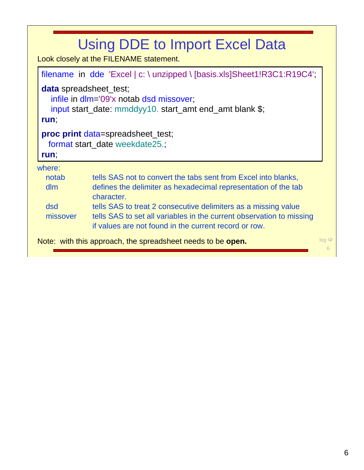|                 | <b>Using DDE to Import Excel Data</b><br>Look closely at the FILENAME statement.                                                                                                                |                        |
|-----------------|-------------------------------------------------------------------------------------------------------------------------------------------------------------------------------------------------|------------------------|
|                 | filename in dde 'Excel   c: \ unzipped \ [basis.xls]Sheet1!R3C1:R19C4',                                                                                                                         |                        |
| run,            | <b>data</b> spreadsheet_test;<br>infile in dlm='09'x notab dsd missover,<br>input start_date: mmddyy10. start_amt end_amt blank \$;                                                             |                        |
| run,            | <b>proc print</b> data=spreadsheet_test;<br>format start_date weekdate25.;                                                                                                                      |                        |
| where:          |                                                                                                                                                                                                 |                        |
| notab<br>dim    | tells SAS not to convert the tabs sent from Excel into blanks,<br>defines the delimiter as hexadecimal representation of the tab<br>character.                                                  |                        |
| dsd<br>missover | tells SAS to treat 2 consecutive delimiters as a missing value<br>tells SAS to set all variables in the current observation to missing<br>if values are not found in the current record or row. |                        |
|                 | Note: with this approach, the spreadsheet needs to be open.                                                                                                                                     | $log \Rightarrow$<br>6 |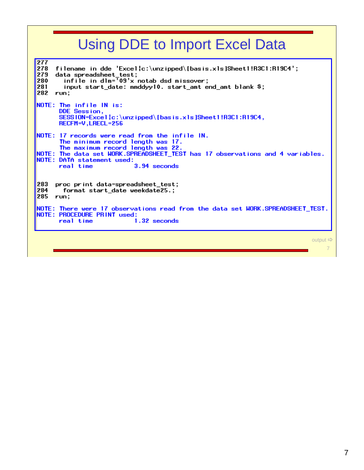277 278 filename in dde 'Excel|c:\unzipped\[basis.xls]Sheet1!R3C1:R19C4'; data spreadsheet\_test; 279 infile in dlm= $\frac{1}{2}09'x$  notab dsd missover; 280 input start\_date: mmddyy10. start\_amt end\_amt blank \$; 281 282 run; NOTE: The infile IN is: DDE Session, SESS ION=Excel | c:\unzipped\[basis.xls]Sheet1!R3C1:R19C4, RECFM=V, LRECL=256 NOTE: 17 records were read from the infile IN. The minimum record length was 17. The maximum record length was 22.<br>NOTE: The data set WORK.SPREADSHEET\_TEST has 17 observations and 4 variables. NOTE: DATA statement used: real time 3.94 seconds 283 proc print data=spreadsheet\_test; format start\_date weekdate25.; 284 285 run; NOTE: There were 17 observations read from the data set WORK.SPREADSHEET\_TEST. NOTE: PROCEDURE PRINT used: 1.32 seconds real time output  $\Rightarrow$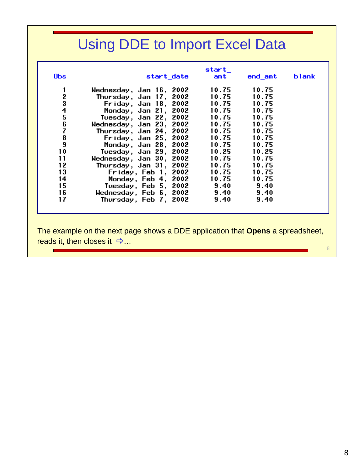| 10.75<br>10.75<br>Wednesday, Jan 16, 2002<br>2<br>10.75<br>10.75<br>Thursday, Jan 17, 2002<br>3<br>4<br>5<br>6<br>10.75<br>10.75<br>Friday, Jan 18, 2002<br>10.75<br>Monday, Jan 21, 2002<br>10.75<br>10.75<br>10.75<br>Tuesday, Jan 22, 2002<br>10.75<br>10.75<br>Wednesday, Jan 23, 2002<br>7<br>10.75<br>10.75<br>Thursday, Jan 24, 2002<br>$\begin{array}{c} 8 \\ 9 \end{array}$<br>10.75<br>10.75<br>Friday, Jan 25, 2002<br>10.75<br>10.75<br>Monday, Jan 28, 2002<br>10<br>10.25<br>Tuesday, Jan 29, 2002<br>10.25<br>11<br>10.75<br>10.75<br>Wednesday, Jan 30, 2002<br>12<br>10.75<br>10.75<br>Thursday, Jan 31, 2002<br>13<br>10.75<br>10.75<br>Friday, Feb 1, 2002<br>14<br>10.75<br>10.75<br>Monday, Feb 4, 2002<br>15<br>9.40<br>9.40<br>Tuesday, Feb 5, 2002<br>16<br>Wednesday, Feb 6, 2002<br>9.40<br>9.40 | <b>Obs</b> | start_date            | start_<br>amt | end_amt | blank |
|----------------------------------------------------------------------------------------------------------------------------------------------------------------------------------------------------------------------------------------------------------------------------------------------------------------------------------------------------------------------------------------------------------------------------------------------------------------------------------------------------------------------------------------------------------------------------------------------------------------------------------------------------------------------------------------------------------------------------------------------------------------------------------------------------------------------------|------------|-----------------------|---------------|---------|-------|
|                                                                                                                                                                                                                                                                                                                                                                                                                                                                                                                                                                                                                                                                                                                                                                                                                            |            |                       |               |         |       |
|                                                                                                                                                                                                                                                                                                                                                                                                                                                                                                                                                                                                                                                                                                                                                                                                                            |            |                       |               |         |       |
|                                                                                                                                                                                                                                                                                                                                                                                                                                                                                                                                                                                                                                                                                                                                                                                                                            |            |                       |               |         |       |
|                                                                                                                                                                                                                                                                                                                                                                                                                                                                                                                                                                                                                                                                                                                                                                                                                            |            |                       |               |         |       |
|                                                                                                                                                                                                                                                                                                                                                                                                                                                                                                                                                                                                                                                                                                                                                                                                                            |            |                       |               |         |       |
|                                                                                                                                                                                                                                                                                                                                                                                                                                                                                                                                                                                                                                                                                                                                                                                                                            |            |                       |               |         |       |
|                                                                                                                                                                                                                                                                                                                                                                                                                                                                                                                                                                                                                                                                                                                                                                                                                            |            |                       |               |         |       |
|                                                                                                                                                                                                                                                                                                                                                                                                                                                                                                                                                                                                                                                                                                                                                                                                                            |            |                       |               |         |       |
|                                                                                                                                                                                                                                                                                                                                                                                                                                                                                                                                                                                                                                                                                                                                                                                                                            |            |                       |               |         |       |
|                                                                                                                                                                                                                                                                                                                                                                                                                                                                                                                                                                                                                                                                                                                                                                                                                            |            |                       |               |         |       |
|                                                                                                                                                                                                                                                                                                                                                                                                                                                                                                                                                                                                                                                                                                                                                                                                                            |            |                       |               |         |       |
|                                                                                                                                                                                                                                                                                                                                                                                                                                                                                                                                                                                                                                                                                                                                                                                                                            |            |                       |               |         |       |
|                                                                                                                                                                                                                                                                                                                                                                                                                                                                                                                                                                                                                                                                                                                                                                                                                            |            |                       |               |         |       |
|                                                                                                                                                                                                                                                                                                                                                                                                                                                                                                                                                                                                                                                                                                                                                                                                                            |            |                       |               |         |       |
|                                                                                                                                                                                                                                                                                                                                                                                                                                                                                                                                                                                                                                                                                                                                                                                                                            |            |                       |               |         |       |
|                                                                                                                                                                                                                                                                                                                                                                                                                                                                                                                                                                                                                                                                                                                                                                                                                            |            |                       |               |         |       |
|                                                                                                                                                                                                                                                                                                                                                                                                                                                                                                                                                                                                                                                                                                                                                                                                                            | 17         | Thursday, Feb 7, 2002 | 9.40          | 9.40    |       |

The example on the next page shows a DDE application that Opens a spreadsheet, reads it, then closes it  $\Rightarrow$ ...

 $\,8\,$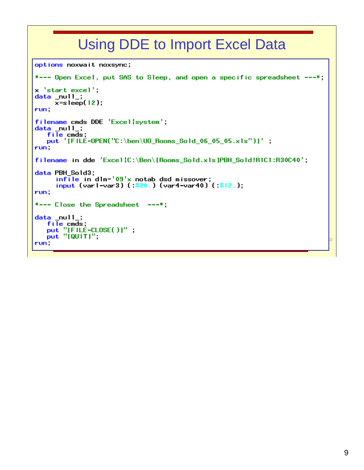```
options noxwait noxsync;
*--- Open Excel, put SAS to Sleep, and open a specific spreadsheet ---*;
x 'start excel';
data null;
     x=sleep(12);
run.
filename cmds DDE 'Excel|system';
data_null_;<br>file cmds;<br>put '[FILE-OPEN("C:\ben\UO_Rooms_Sold_06_05_05.xls")]';
run.
filename in dde 'Excel{C:\Ben\[Rooms_Sold.xls]PBH_Sold!R1C1:R30C40';
data PBH_Sold3;
      infile in dlm = 0.9'x notab dsd missover;
      input (var1-var3) (:$20.) (var4-var40) (:$12.);
run.
*--- Close the Spreadsheet ---*;
data null;
   file cmds;<br>put "[FILE-CLOSE()]";
   put "[QU[T]]";
run.
```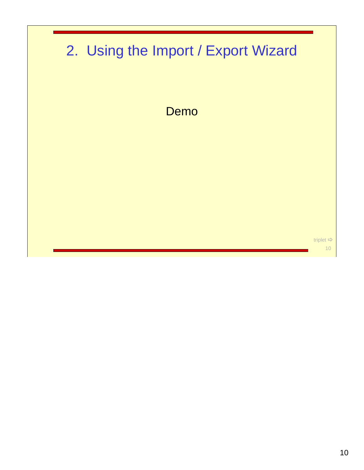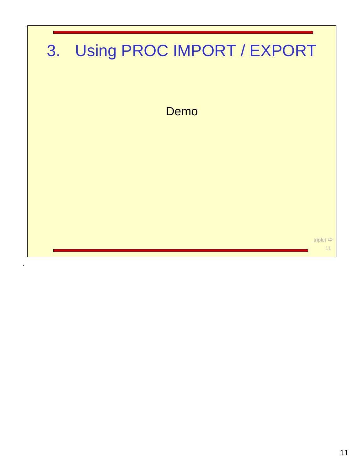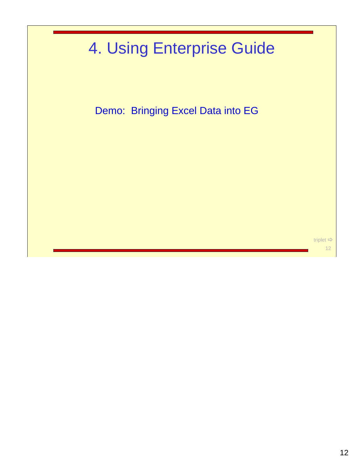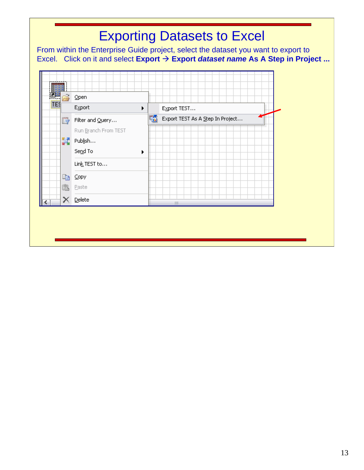From within the Enterprise Guide project, select the dataset you want to export to Excel. Click on it and select Export → Export *dataset name* As A Step in Project ...

|     | Open                 |                                       |
|-----|----------------------|---------------------------------------|
| TES | Export               | Export TEST<br>×.                     |
| B   | Filter and Query     | 酷<br>Export TEST As A Step In Project |
|     | Run Branch From TEST |                                       |
| 鬗   | Publish              |                                       |
|     | Send To              | ۱                                     |
|     | Link TEST to         |                                       |
| þ   | Copy                 |                                       |
| û   | Paste                |                                       |
| ×   | Delete               | $\rm HII$                             |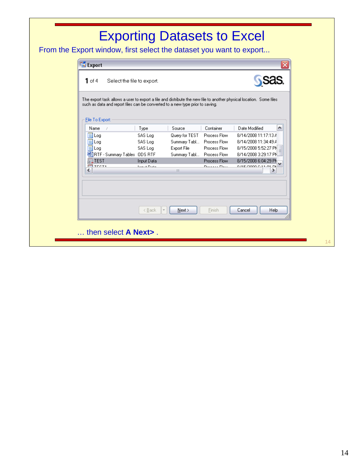From the Export window, first select the dataset you want to export...

| 1 of 4<br>Select the file to export.                                                                                                                                                                 |                      |                           |               |                           |  |
|------------------------------------------------------------------------------------------------------------------------------------------------------------------------------------------------------|----------------------|---------------------------|---------------|---------------------------|--|
| The export task allows a user to export a file and distribute the new file to another physical location. Some files<br>such as data and report files can be converted to a new type prior to saving. |                      |                           |               |                           |  |
|                                                                                                                                                                                                      |                      |                           |               |                           |  |
| File To Export:<br>Name<br>- 7                                                                                                                                                                       | Type                 | Source                    | Container     | Date Modified<br>∧        |  |
| iii) Log                                                                                                                                                                                             | SAS Log              | Query for TEST            | Process Flow  | 8/14/2008 11:17:13 A      |  |
| Ë<br>Log                                                                                                                                                                                             | SAS Log              | Summary Tabl              | Process Flow  | 8/14/2008 11:34:49 A      |  |
| iii Log                                                                                                                                                                                              | SAS Log              | Export File               | Process Flow  | 8/15/2008 5:52:27 PN      |  |
| 凹RTF - Summary Tables ODS RTF                                                                                                                                                                        |                      | Summary Tabl Process Flow |               | 8/14/2008 3:29:17 PN      |  |
| 驒TEST                                                                                                                                                                                                | Input Data           |                           | Process Flow  | 8/15/2008 6:04:29 PM      |  |
| <b>FER</b> TECTA                                                                                                                                                                                     | <b>Louis A Dista</b> |                           | Deserva Flame | <b>ALL FOUR COOOLS DR</b> |  |
| ≺                                                                                                                                                                                                    |                      | <b>IIII</b>               |               | ⋗                         |  |
|                                                                                                                                                                                                      |                      |                           |               |                           |  |
|                                                                                                                                                                                                      |                      |                           |               |                           |  |
|                                                                                                                                                                                                      |                      |                           |               |                           |  |
|                                                                                                                                                                                                      | < Back               | Next                      | Finish        | <b>Help</b><br>Cancel     |  |
|                                                                                                                                                                                                      |                      |                           |               |                           |  |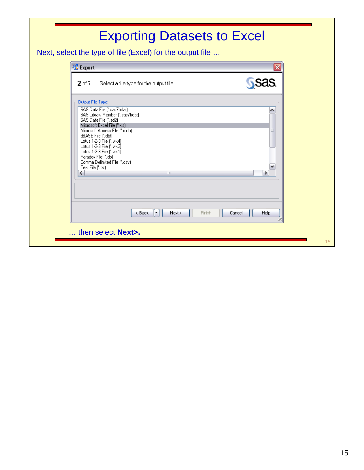| Export                                                        | ≅ |
|---------------------------------------------------------------|---|
| $2$ of 5<br>Select a file type for the output file.           |   |
| <b>Qutput File Type:</b>                                      |   |
| SAS Data File (".sas7bdat)<br>SAS Library Member (".sas7bdat) |   |
| SAS Data File (".sd2)<br>Microsoft Excel File (*.xls)         |   |
| Microsoft Access File (".mdb)<br>dBASE File (".dbf)           | ≣ |
| Lotus 1-2-3 File (".wk4)<br>Lotus 1-2-3 File (".wk3)          |   |
| Lotus 1-2-3 File (".wk1)<br>Paradox File (".db)               |   |
| Comma Delimited File (*.csv)<br>Text File (".txt)             |   |
| ≺<br>$\mathbf{III}$                                           | ≯ |
|                                                               |   |
|                                                               |   |
|                                                               |   |

15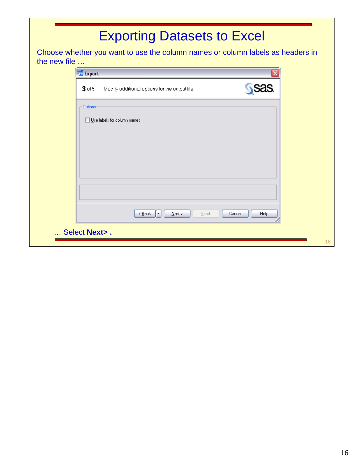Choose whether you want to use the column names or column labels as headers in the new file …

| Options                     |                                |                  |      |
|-----------------------------|--------------------------------|------------------|------|
| Use labels for column names |                                |                  |      |
|                             |                                |                  |      |
|                             |                                |                  |      |
|                             |                                |                  |      |
|                             |                                |                  |      |
|                             |                                |                  |      |
|                             | $\leq$ Back<br>$N$ ext ><br>⊪∗ | Einish<br>Cancel | Help |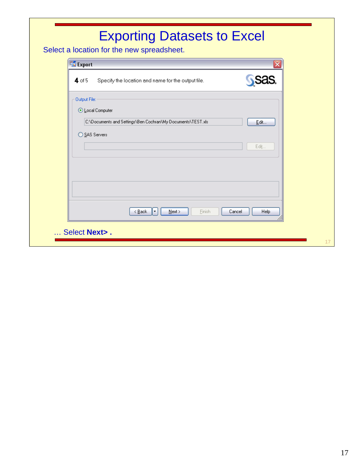Select a location for the new spreadsheet.

| $4$ of 5       | Specify the location and name for the output file.          | <b>SSAS.</b>   |
|----------------|-------------------------------------------------------------|----------------|
| Output File:   |                                                             |                |
| Local Computer |                                                             |                |
|                | C:\Documents and Settings\Ben Cochran\My Documents\TEST.xls | Edit           |
| ◯ SAS Servers  |                                                             |                |
|                |                                                             | Edit           |
|                |                                                             |                |
|                |                                                             |                |
|                |                                                             |                |
|                |                                                             |                |
|                |                                                             |                |
|                | < <u>B</u> ack<br>Einish<br>⊩∗<br>$N$ ext >                 | Cancel<br>Help |
|                |                                                             |                |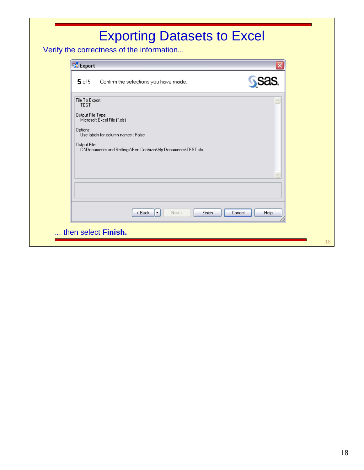Verify the correctness of the information...

| $5$ of 5                                                                        |                                                                     | Confirm the selections you have made.                       |           |        |        | <b>SSAS.</b>                 |  |
|---------------------------------------------------------------------------------|---------------------------------------------------------------------|-------------------------------------------------------------|-----------|--------|--------|------------------------------|--|
| File To Export:<br><b>TEST</b><br>Output File Type:<br>Options:<br>Output File: | Microsoft Excel File (*.xls)<br>Use labels for column names : False | C:\Documents and Settings\Ben Cochran\My Documents\TEST.xls |           |        |        | $\curvearrowright$<br>$\vee$ |  |
|                                                                                 |                                                                     | < <u>B</u> ack<br>E                                         | $N$ ext > | Einish | Cancel | Help                         |  |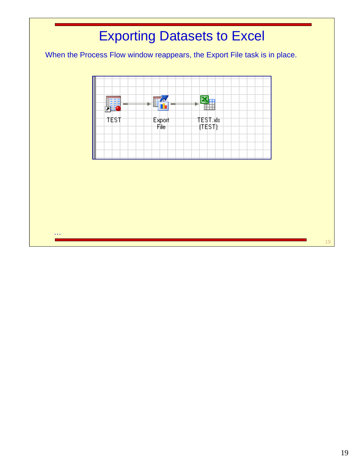When the Process Flow window reappears, the Export File task is in place.



 $\sim 10$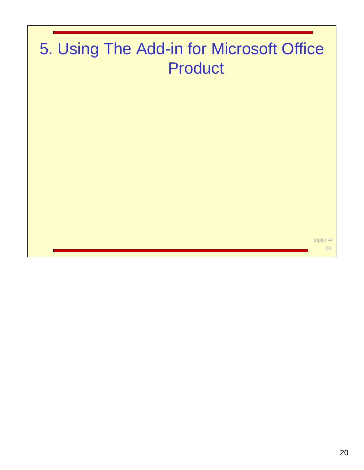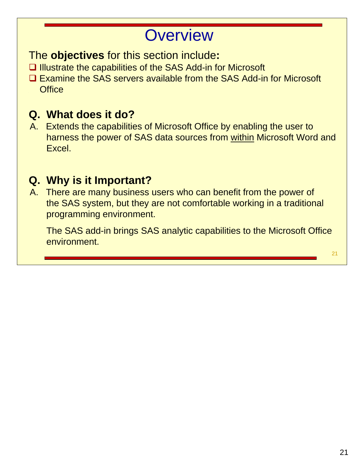### **Overview**

The **objectives** for this section include**:**

- $\Box$  Illustrate the capabilities of the SAS Add-in for Microsoft
- Examine the SAS servers available from the SAS Add-in for Microsoft . Office

#### **Q. What does it do?**

A. Extends the capabilities of Microsoft Office by enabling the user to harness the power of SAS data sources from within Microsoft Word and Excel.

#### **Q. Why is it Important?**

A. There are many business users who can benefit from the power of the SAS system, but they are not comfortable working in a traditional programming environment.

The SAS add-in brings SAS analytic capabilities to the Microsoft Office environment.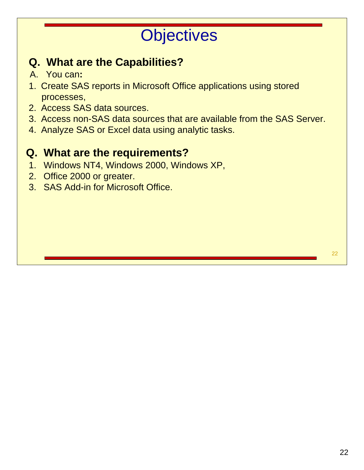# **Objectives**

#### **Q. What are the Capabilities?**

- A. You can**:**
- 1. Create SAS reports in Microsoft Office applications using stored .processes,
- 2. Access SAS data sources.
- 3. Access non-SAS data sources that are available from the SAS Server.
- 4. Analyze SAS or Excel data using analytic tasks.

#### **Q. What are the requirements?**

- 1. Windows NT4, Windows 2000, Windows XP,
- 2. Office 2000 or greater.
- 3. SAS Add-in for Microsoft Office.

22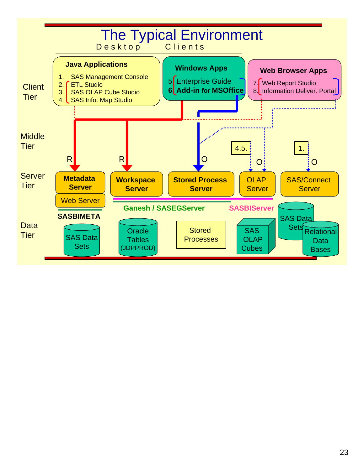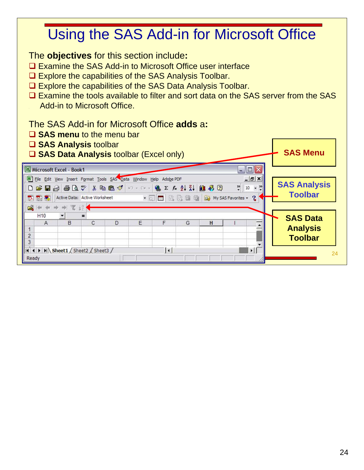### Using the SAS Add-in for Microsoft Office

The **objectives** for this section include**:**

- **□ Examine the SAS Add-in to Microsoft Office user interface**
- □ Explore the capabilities of the SAS Analysis Toolbar.
- Explore the capabilities of the SAS Data Analysis Toolbar.
- □ Examine the tools available to filter and sort data on the SAS server from the SAS . Add-in to Microsoft Office.

The SAS Add-in for Microsoft Office **adds** a**:**

- **SAS menu** to the menu bar
- **SAS Analysis** toolbar

■ SAS Data Analysis toolbar (Excel only) **SAS Menu** 

| Microsoft Excel - Book1                             |                                                                                                                                                             |        |   |                      |   |                                 | $- \mathbf{E} $                                  |                                       |
|-----------------------------------------------------|-------------------------------------------------------------------------------------------------------------------------------------------------------------|--------|---|----------------------|---|---------------------------------|--------------------------------------------------|---------------------------------------|
| 因因者                                                 | File Edit View Insert Format Tools SAS Data Window Help Adobe PDF<br>D <del>B</del> BBBV * BB√ m · m · B Σ £ 2 ₹ H U + B Ω<br>Active Data: Active Worksheet |        |   |                      |   | • 回国 回 回 雪 回 My SAS Favorites • | $   \times$<br>$\frac{32}{7}$ 10<br>$\mathbf{S}$ | <b>SAS Analysis</b><br><b>Toolbar</b> |
| H <sub>10</sub><br>$\overline{A}$<br>$\overline{2}$ | □→ → → ▼ 2 →<br>$\equiv$<br>B<br>C                                                                                                                          | $\Box$ | F | F                    | G | H                               |                                                  | <b>SAS Data</b><br><b>Analysis</b>    |
| 3<br>Ready                                          | II I I M Sheet1 / Sheet2 / Sheet3 /                                                                                                                         |        |   | $\overline{\bullet}$ |   |                                 |                                                  | <b>Toolbar</b><br>24                  |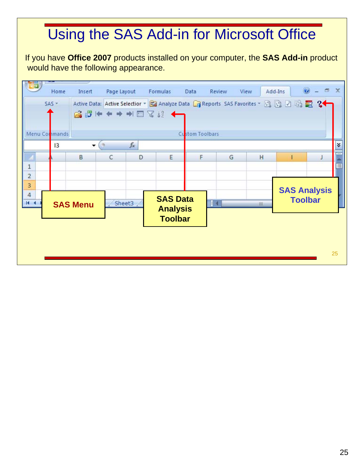## Using the SAS Add-in for Microsoft Office

If you have **Office 2007** products installed on your computer, the **SAS Add-in** product would have the following appearance.

|                           | Home          | Insert                   | Page Layout                                                                             | Formulas                          | Data            | Review       | View | Add-Ins | 0                   | $\mathbf{x}$<br>$\Box$ |
|---------------------------|---------------|--------------------------|-----------------------------------------------------------------------------------------|-----------------------------------|-----------------|--------------|------|---------|---------------------|------------------------|
|                           | $SAS =$       |                          | Active Data: Active Selectior + Ba Analyze Data G Reports SAS Favorites + S G G B S S 2 |                                   |                 |              |      |         |                     |                        |
|                           | Menu Commands |                          |                                                                                         |                                   | Custom Toolbars |              |      |         |                     |                        |
|                           | 13            | $\overline{\phantom{a}}$ | $f_x$<br>ίm,                                                                            |                                   |                 |              |      |         |                     | ¥                      |
|                           |               | B                        | C<br>D                                                                                  | E                                 | F               | G            | Ĥ    |         |                     |                        |
| $\mathbf 1$               |               |                          |                                                                                         |                                   |                 |              |      |         |                     | O                      |
| $\overline{2}$<br>3       |               |                          |                                                                                         |                                   |                 |              |      |         | <b>SAS Analysis</b> |                        |
| $\overline{a}$<br>$H - 4$ |               | <b>SAS Menu</b>          | Sheet3                                                                                  | <b>SAS Data</b>                   |                 | $\mathbb{R}$ | Ш    |         | <b>Toolbar</b>      |                        |
|                           |               |                          |                                                                                         | <b>Analysis</b><br><b>Toolbar</b> |                 |              |      |         |                     |                        |
|                           |               |                          |                                                                                         |                                   |                 |              |      |         |                     |                        |
|                           |               |                          |                                                                                         |                                   |                 |              |      |         |                     |                        |
|                           |               |                          |                                                                                         |                                   |                 |              |      |         |                     | 25                     |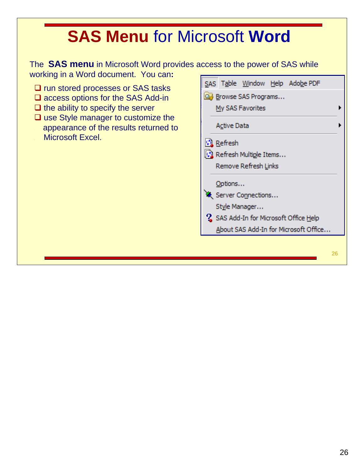# **SAS Menu** for Microsoft **Word**

The **SAS menu** in Microsoft Word provides access to the power of SAS while working in a Word document. You can**:**

- $\square$  run stored processes or SAS tasks
- **□** access options for the SAS Add-in
- $\Box$  the ability to specify the server
- $\Box$  use Style manager to customize the . appearance of the results returned to Microsoft Excel.



26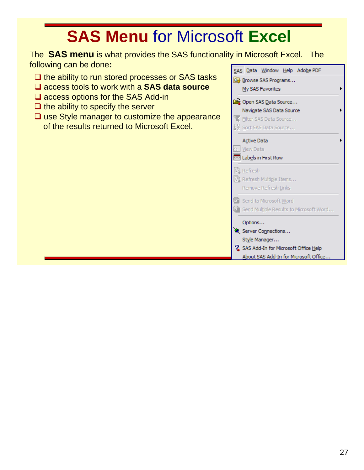# **SAS Menu** for Microsoft **Excel**

The **SAS menu** is what provides the SAS functionality in Microsoft Excel. The following can be done**:**

- $\Box$  the ability to run stored processes or SAS tasks
- access tools to work with a **SAS data source**
- $\square$  access options for the SAS Add-in
- $\Box$  the ability to specify the server
- $\Box$  use Style manager to customize the appearance of the results returned to Microsoft Excel.

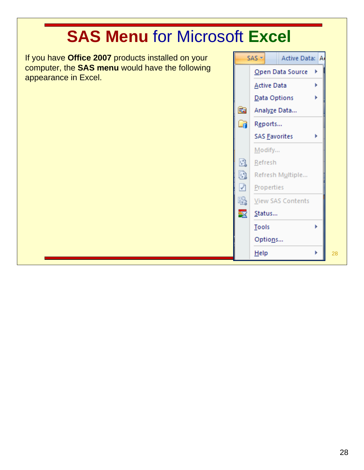# **SAS Menu** for Microsoft **Excel**

If you have **Office 2007** products installed on your computer, the **SAS menu** would have the following appearance in Excel.

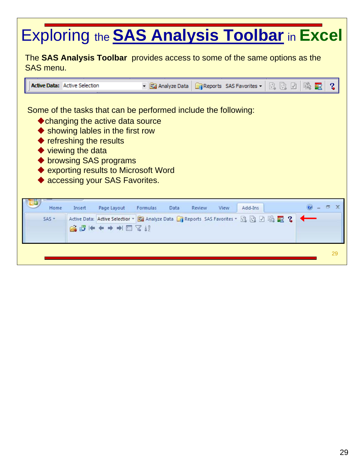# Exploring the **SAS Analysis Toolbar** in **Excel**

The **SAS Analysis Toolbar** provides access to some of the same options as the SAS menu.

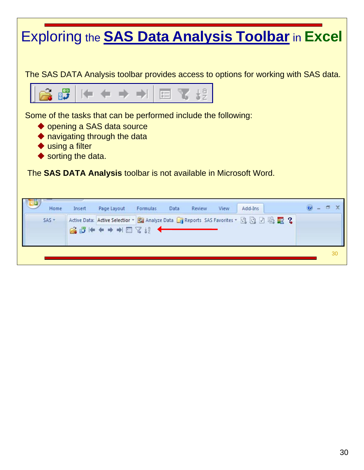## Exploring the **SAS Data Analysis Toolbar** in **Excel**

The SAS DATA Analysis toolbar provides access to options for working with SAS data.



Some of the tasks that can be performed include the following:

- ◆ opening a SAS data source
- ◆ navigating through the data
- ◆ using a filter
- ◆ sorting the data.

The **SAS DATA Analysis** toolbar is not available in Microsoft Word.

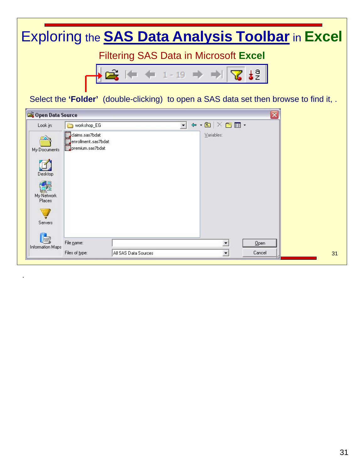## Exploring the **SAS Data Analysis Toolbar** in **Excel**

Filtering SAS Data in Microsoft **Excel**



Select the 'Folder' (double-clicking) to open a SAS data set then browse to find it, .

| Copen Data Source          |                                                            |                      |                                                                                                                                                                                                                                                                                                                                                                                                                                                                                 | $ \overline{\mathsf{x}} $ |  |
|----------------------------|------------------------------------------------------------|----------------------|---------------------------------------------------------------------------------------------------------------------------------------------------------------------------------------------------------------------------------------------------------------------------------------------------------------------------------------------------------------------------------------------------------------------------------------------------------------------------------|---------------------------|--|
| Look in:                   | workshop_EG                                                |                      | $\overline{\phantom{a}}$ $\overline{\phantom{a}}$ $\overline{\phantom{a}}$ $\overline{\phantom{a}}$ $\overline{\phantom{a}}$ $\overline{\phantom{a}}$ $\overline{\phantom{a}}$ $\overline{\phantom{a}}$ $\overline{\phantom{a}}$ $\overline{\phantom{a}}$ $\overline{\phantom{a}}$ $\overline{\phantom{a}}$ $\overline{\phantom{a}}$ $\overline{\phantom{a}}$ $\overline{\phantom{a}}$ $\overline{\phantom{a}}$ $\overline{\phantom{a}}$ $\overline{\phantom{a}}$ $\overline{\$ |                           |  |
| My Documents               | claims.sas7bdat<br>enrollment.sas7bdat<br>premium.sas7bdat |                      | Variables:                                                                                                                                                                                                                                                                                                                                                                                                                                                                      |                           |  |
| Desktop                    |                                                            |                      |                                                                                                                                                                                                                                                                                                                                                                                                                                                                                 |                           |  |
| dž<br>My Network<br>Places |                                                            |                      |                                                                                                                                                                                                                                                                                                                                                                                                                                                                                 |                           |  |
| Servers                    |                                                            |                      |                                                                                                                                                                                                                                                                                                                                                                                                                                                                                 |                           |  |
| C,<br>Information Maps     | File name:                                                 |                      | $\blacktriangledown$                                                                                                                                                                                                                                                                                                                                                                                                                                                            | Qpen                      |  |
|                            | Files of type:                                             | All SAS Data Sources | $\blacksquare$                                                                                                                                                                                                                                                                                                                                                                                                                                                                  | Cancel                    |  |

.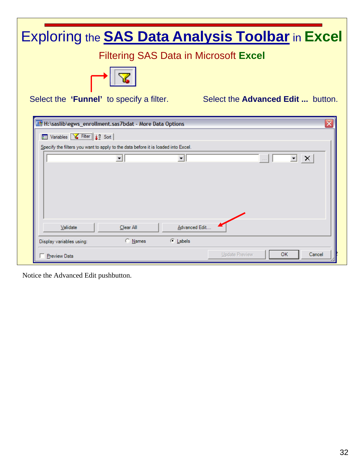| Exploring the <b>SAS Data Analysis Toolbar</b> in Excel                                        |
|------------------------------------------------------------------------------------------------|
| <b>Filtering SAS Data in Microsoft Excel</b>                                                   |
|                                                                                                |
| Select the 'Funnel' to specify a filter.<br>Select the <b>Advanced Edit</b> button.            |
| ×<br>图 H:\saslib\egws_enrollment.sas7bdat - More Data Options                                  |
| <b>ED</b> Variables <b>&amp;</b> Filter $\frac{1}{2}$ Sort                                     |
| Specify the filters you want to apply to the data before it is loaded into Excel.              |
| $\overline{\mathbb{E}}$ $\mathbb{X}$ $\overline{\mathbb{E}}$<br>▾▏<br>$\overline{\phantom{0}}$ |
|                                                                                                |
|                                                                                                |
|                                                                                                |
| Advanced Edit<br>Validate<br>Clear All                                                         |
| C Names<br>C Labels<br>Display variables using:                                                |
| <b>Update Preview</b><br>OK<br>Cancel<br><b>Preview Data</b>                                   |

Notice the Advanced Edit pushbutton.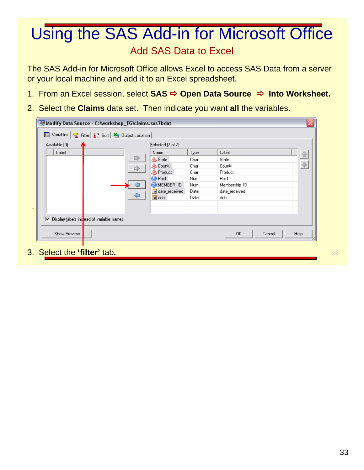#### Add SAS Data to Excel Using the SAS Add-in for Microsoft Office

The SAS Add-in for Microsoft Office allows Excel to access SAS Data from a server or your local machine and add it to an Excel spreadsheet.

- 1. From an Excel session, select SAS **→ Open Data Source → Into Worksheet.**
- 2. Select the **Claims** data set. Then indicate you want **all** the variables**.**

| Available (0):                             |   | Selected (7 of 7): |      |               |  |
|--------------------------------------------|---|--------------------|------|---------------|--|
| Label                                      |   | Name               | Type | Label         |  |
|                                            | 吟 | <b>△</b> State     | Char | State         |  |
|                                            | 嘞 | A County           | Char | County        |  |
|                                            |   | <b>A</b> Product   | Char | Product       |  |
|                                            |   | <sup>2</sup> Paid  | Num  | Paid          |  |
|                                            |   | MEMBER_ID          | Num  | Membership_ID |  |
|                                            |   | date_received      | Date | date_received |  |
|                                            | ⇔ | dob                | Date | dob           |  |
| ↓ Display labels instead of variable names |   |                    |      |               |  |
|                                            |   |                    |      |               |  |
|                                            |   |                    |      |               |  |

33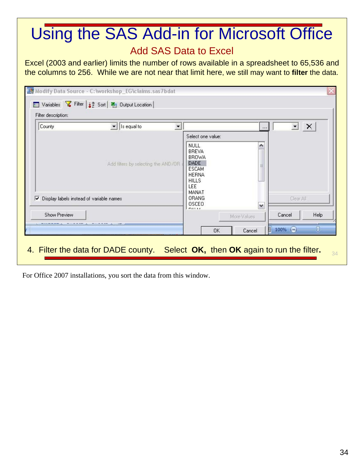#### Using the SAS Add-in for Microsoft Office Add SAS Data to Excel

Excel (2003 and earlier) limits the number of rows available in a spreadsheet to 65,536 and the columns to 256. While we are not near that limit here, we still may want to **filter** the data.

| County                                        | $\overline{\phantom{a}}$<br>Is equal to | $\overline{\phantom{a}}$ |                                                                                                                                   |             | $\blacktriangledown$<br>$\vert x \vert$ |
|-----------------------------------------------|-----------------------------------------|--------------------------|-----------------------------------------------------------------------------------------------------------------------------------|-------------|-----------------------------------------|
|                                               | Add filters by selecting the AND/OR     |                          | Select one value:<br>NULL<br><b>BREVA</b><br>BROWA<br><b>DADE</b><br><b>ESCAM</b><br><b>HERNA</b><br><b>HILLS</b><br>LEE<br>MANAT |             | ۸<br>≣                                  |
| Display labels instead of variable names<br>⊽ |                                         |                          | <b>ORANG</b><br><b>OSCEO</b>                                                                                                      |             | Clear All<br>$\checkmark$               |
| Show Preview                                  |                                         |                          | mails.                                                                                                                            | More Values | Cancel<br>Help                          |

For Office 2007 installations, you sort the data from this window.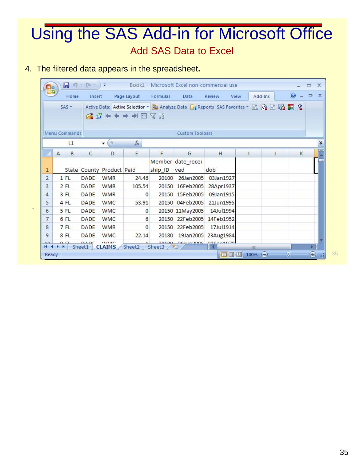### Add SAS Data to Excel Using the SAS Add-in for Microsoft Office

#### 4. The filtered data appears in the spreadsheet**.**

.

| $\mathbf{C}_{m}$ |   |                               | $\begin{bmatrix} 1 & 0 \\ 0 & 1 \end{bmatrix} = \begin{bmatrix} 0 & - \\ 0 & 1 \end{bmatrix} \in$ |                           |              |             |                        | Book1 - Microsoft Excel non-commercial use                                             |            |          |         | $\mathbf x$<br>Ħ        |
|------------------|---|-------------------------------|---------------------------------------------------------------------------------------------------|---------------------------|--------------|-------------|------------------------|----------------------------------------------------------------------------------------|------------|----------|---------|-------------------------|
|                  |   | Home                          | Insert                                                                                            |                           | Page Layout  | Formulas    | Data                   | Review<br>View                                                                         |            | Add-Ins  | $\circ$ | $\mathbf{x}$<br>司       |
|                  |   | $SAS -$                       |                                                                                                   |                           | 高暗⊭◆ ◆ → 国名号 |             |                        | Active Data: Active Selectior + B Analyze Data B Reports SAS Favorites + 图 图 团 图 图 文 2 |            |          |         |                         |
|                  |   | Menu Commands                 |                                                                                                   |                           |              |             | <b>Custom Toolbars</b> |                                                                                        |            |          |         |                         |
|                  |   | L1                            |                                                                                                   | $\overline{\phantom{a}}$  | $f_x$        |             |                        |                                                                                        |            |          |         | ×.                      |
|                  | A | B                             | C                                                                                                 | D                         | E            | F           | G                      | H                                                                                      | л          | J        | K       |                         |
| 1                |   |                               |                                                                                                   | State County Product Paid |              | ship ID ved | Member date recei      | dob                                                                                    |            |          |         |                         |
| $\overline{2}$   |   | $1$ FL                        | DADE                                                                                              | <b>WMR</b>                | 24.46        | 20100       | 26Jan2005              | 03Jan1927                                                                              |            |          |         |                         |
| 3                |   | $2$ FL                        | DADE                                                                                              | <b>WMR</b>                | 105.54       |             | 20150 16Feb2005        | 28Apr1937                                                                              |            |          |         |                         |
| 4                |   | $3$ FL                        | <b>DADE</b>                                                                                       | <b>WMR</b>                | $\Omega$     |             | 20150 15Feb2005        | 09Jan1915                                                                              |            |          |         |                         |
| 5                |   | 4 FL                          | DADE                                                                                              | <b>WMC</b>                | 53.91        | 20150       | 04Feb2005              | 21Jun1995                                                                              |            |          |         |                         |
| 6                |   | $5$ FL                        | DADE                                                                                              | <b>WMC</b>                | $\mathbf{0}$ |             | 20150 11May2005        | 14Jul1994                                                                              |            |          |         |                         |
| 7                |   | $6$ FL                        | <b>DADE</b>                                                                                       | <b>WMC</b>                | 6            |             | 20150 22Feb2005        | 14Feb1952                                                                              |            |          |         |                         |
| 8                |   | 7FL                           | DADE                                                                                              | <b>WMR</b>                | $\Omega$     | 20150       | 22Feb2005              | 17Jul1914                                                                              |            |          |         |                         |
| 9                |   | 8 FL                          | <b>DADE</b>                                                                                       | <b>WMC</b>                | 22.14        | 20180       | 19Jan2005              | 23Aug1984                                                                              |            |          |         |                         |
| 10<br>$14 - 4$   |   | n r <br>$\blacktriangleright$ | DADE<br>Sheet1                                                                                    | 18/88<br><b>CLAIMS</b>    | Sheet2       | Sheet3      | Υ.                     | 20100 201 200 200 225 2010 20                                                          | <b>HIL</b> |          |         | $\blacktriangleright$ 1 |
| Ready            |   |                               |                                                                                                   |                           |              |             |                        | 田回凹                                                                                    | 100%       | $\Theta$ | U       | ⊕                       |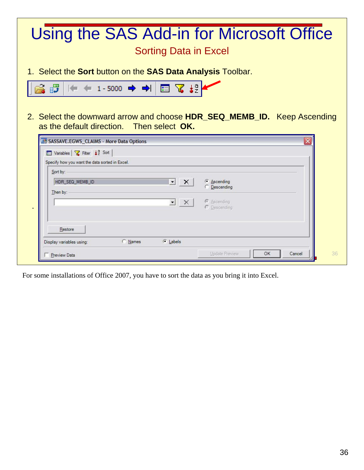#### Sorting Data in Excel Using the SAS Add-in for Microsoft Office

1. Select the **Sort** button on the **SAS Data Analysis** Toolbar.



2. Select the downward arrow and choose **HDR\_SEQ\_MEMB\_ID.** Keep Ascending as the default direction. Then select **OK.** 

| Sort by:                    |                           |                                    |
|-----------------------------|---------------------------|------------------------------------|
| HDR_SEQ_MEMB_ID<br>Then by: | ᅬ<br>$\mathbf{x}$         | G Ascending<br><b>C</b> Descending |
|                             | $\mathbf{y}$ $\mathbf{r}$ | C Ascending<br>C Descending        |
| Restore                     |                           |                                    |

For some installations of Office 2007, you have to sort the data as you bring it into Excel.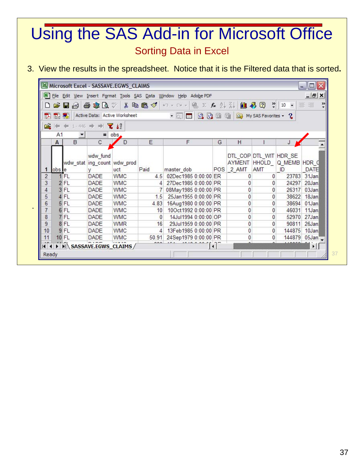#### Sorting Data in Excel Using the SAS Add-in for Microsoft Office

3. View the results in the spreadsheet. Notice that it is the Filtered data that is sorted**.**

|       |                |              |                                         | Microsoft Excel - SASSAVE.EGWS_CLAIMS |          |                                                                   |              |                              |                               |                                               | 同<br>ò.               |
|-------|----------------|--------------|-----------------------------------------|---------------------------------------|----------|-------------------------------------------------------------------|--------------|------------------------------|-------------------------------|-----------------------------------------------|-----------------------|
|       |                |              |                                         |                                       |          | File Edit View Insert Format Tools SAS Data Window Help Adobe PDF |              |                              |                               |                                               | $ B$ $\times$         |
| ▯     | Ê              | П<br>自       | 6 \$ Q *                                |                                       |          | 第 电图 ダ ロ マ ー 風 エ な ま ま                                            |              |                              | 出再回                           | $\frac{32}{7}$ 10<br>$\overline{\phantom{a}}$ | $\gg$<br>喜唱           |
| 认     | 閭              | 勪            |                                         | Active Data: Active Worksheet         |          | $\cdot$ 0. $\pm$<br>03.03.                                        | 國            | 動                            | My SAS Favorites              | $\mathbf 3$                                   |                       |
| 属     |                | $-446$       |                                         | $\mathbf{z}$ $\mathbf{z}^2$           |          |                                                                   |              |                              |                               |                                               |                       |
|       | A <sub>1</sub> |              | $\equiv$                                | obs.                                  |          |                                                                   |              |                              |                               |                                               |                       |
|       | $\mathsf{A}$   | B            | $\mathbb C$                             | D                                     | E        | F                                                                 | G            | Η                            |                               | J                                             |                       |
|       | obs le         |              | wdw fund<br>wdw stat ing count wdw prod | uct                                   | Paid     | master dob                                                        | POS          | <b>AYMENT HHOLD</b><br>2 AMT | DTL COP DTL WIT HDR SE<br>AMT | Q MEMB HDR Q<br>ID                            | <b>DATE</b>           |
| 2     |                | 1 FL         | <b>DADE</b>                             | <b>WMC</b>                            | 4.5      | 02Dec1985 0:00:00 ER                                              |              | 0                            | 0                             | 23783                                         | 31Jan                 |
| 3     |                | 2 FL         | <b>DADE</b>                             | <b>WMC</b>                            |          | 27Dec1985 0:00:00 PR                                              |              | 0                            | 0                             | 24297                                         | 20Jan                 |
| 4     |                | 3 FL         | <b>DADE</b>                             | <b>WMC</b>                            |          | 08May1985 0:00:00 PR                                              |              | 0                            | 0                             | 26317                                         | 03Jan                 |
| 5     |                | 4 FL         | <b>DADE</b>                             | <b>WMC</b>                            | 1.5      | 25Jan1955 0:00:00 PR                                              |              | 0                            | 0                             | 38622                                         | 18Jan                 |
| 6     |                | 5 FL         | <b>DADE</b>                             | <b>WMC</b>                            | 4.83     | 16Aug1980 0:00:00 PR                                              |              | 0                            | 0                             | 38694                                         | 01Jan                 |
| 7     |                | 6 FL         | <b>DADE</b>                             | <b>WMC</b>                            | 10       | 10Oct1992 0:00:00 PR                                              |              | 0                            | 0                             | 46031                                         | 11Jan                 |
| 8     |                | 7 FL         | <b>DADE</b>                             | <b>WMC</b>                            | $\Omega$ | 14Jul1994 0:00:00 OP                                              |              | 0                            | 0                             | 52970                                         | 27Jan                 |
| 9     |                | 8FL          | <b>DADE</b>                             | <b>WMR</b>                            | 16       | 29Jul1959 0:00:00 PR                                              |              | 0                            | 0                             | 90811                                         | 26Jan                 |
| 10    |                | 9 FL         | <b>DADE</b>                             | <b>WMC</b>                            | 4        | 13Feb1985 0:00:00 PR                                              |              | 0                            | 0                             | 144875                                        | 10Jan                 |
| 11    |                | <b>10 FL</b> | <b>DADE</b>                             | <b>WMC</b>                            | 50.91    | 24Sep1979 0:00:00 PR                                              |              | 0                            | 0                             | 144879                                        | 05Jan                 |
| 111   |                |              | H SASSAVE.EGWS_CLAIMS                   |                                       |          |                                                                   | $\leftarrow$ |                              |                               |                                               | $\blacktriangleright$ |
| Ready |                |              |                                         |                                       |          |                                                                   |              |                              |                               |                                               |                       |

.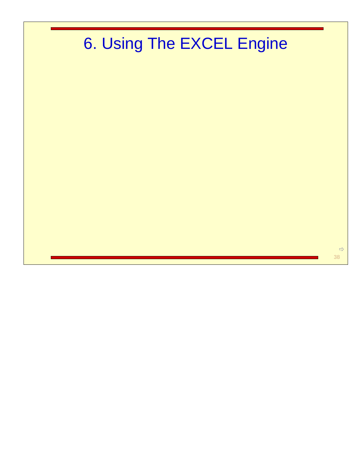# 6. Using The EXCEL Engine

 $\Rightarrow$ 38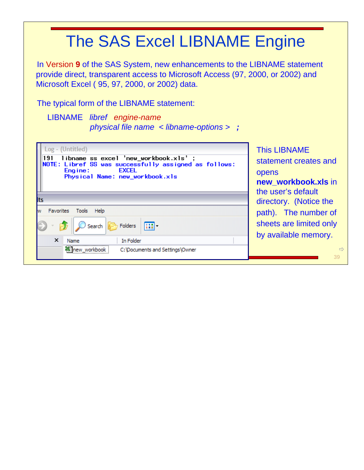In Version **9** of the SAS System, new enhancements to the LIBNAME statement provide direct, transparent access to Microsoft Access (97, 2000, or 2002) and Microsoft Excel ( 95, 97, 2000, or 2002) data.

The typical form of the LIBNAME statement:

#### LIBNAME *libref engine-name physical file name < libname-options > ;*

| Log - (Untitled)<br>libname ss excel 'new_workbook.xls' ;<br>191<br>NOTE: Libref SS was successfully assigned as follows:<br><b>EXCEL</b><br>Engine:<br>Physical Name: new_workbook.xls | <b>This LIBNAME</b><br>statement creates and<br>opens<br>new_workbook.xls in<br>the user's default |
|-----------------------------------------------------------------------------------------------------------------------------------------------------------------------------------------|----------------------------------------------------------------------------------------------------|
| lts                                                                                                                                                                                     | directory. (Notice the                                                                             |
| <b>Favorites</b><br>Tools<br>Help                                                                                                                                                       | path). The number of                                                                               |
| Folders<br>丽·<br>Search                                                                                                                                                                 | sheets are limited only<br>by available memory.                                                    |
| $\times$<br>In Folder<br>Name                                                                                                                                                           |                                                                                                    |
| <b>※Thew workbook</b><br>C: Documents and Settings Owner                                                                                                                                | $\Rightarrow$<br>39                                                                                |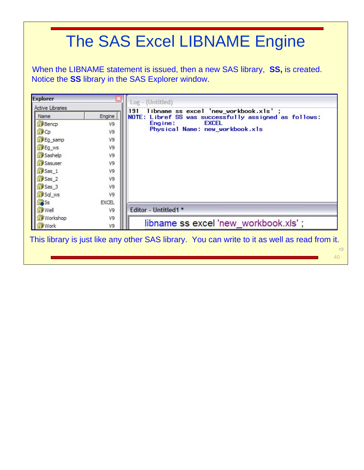When the LIBNAME statement is issued, then a new SAS library, **SS,** is created. Notice the **SS** library in the SAS Explorer window.

| <b>Active Libraries</b> |              | Log - (Untitled)                                                                                         |
|-------------------------|--------------|----------------------------------------------------------------------------------------------------------|
| Name                    | Engine       | libname ss excel 'new_workbook.xls' ;<br>191<br>NOTE:<br>Libref SS was successfully assigned as follows: |
| <b>Bencp</b>            | V9           | <b>EXCEL</b><br>Engine:                                                                                  |
| 间Cp                     | V9           | Physical Name: new_workbook.xls                                                                          |
| Eg_samp                 | V9           |                                                                                                          |
| Eg_ws                   | V9           |                                                                                                          |
| Sashelp                 | V9           |                                                                                                          |
| Sasuser                 | V9           |                                                                                                          |
| Sas 1                   | V9           |                                                                                                          |
| Sas_2                   | V9           |                                                                                                          |
| Sas 3                   | V9           |                                                                                                          |
| Sql_ws                  | V9           |                                                                                                          |
| <b>B</b> Ss             | <b>EXCEL</b> |                                                                                                          |
| <b>Well</b>             | V9           | Editor - Untitled1 *                                                                                     |
| <b>Norkshop</b>         | V9           |                                                                                                          |
| Work                    | V9           | libname ss excel 'new workbook.xls';                                                                     |

40

 $\Rightarrow$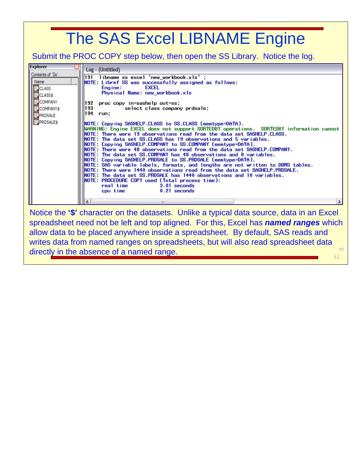Submit the PROC COPY step below, then open the SS Library. Notice the log.

| <b>Explorer</b>                                     | Log - (Untitled)                                                                                                                                                                                                                                                                                                                                                                                                                                                                                                                                                                                                                                                                                                                                                                                                                                                                                                                                         |  |  |  |  |  |  |
|-----------------------------------------------------|----------------------------------------------------------------------------------------------------------------------------------------------------------------------------------------------------------------------------------------------------------------------------------------------------------------------------------------------------------------------------------------------------------------------------------------------------------------------------------------------------------------------------------------------------------------------------------------------------------------------------------------------------------------------------------------------------------------------------------------------------------------------------------------------------------------------------------------------------------------------------------------------------------------------------------------------------------|--|--|--|--|--|--|
| Contents of 'Ss'<br>Name<br>CLASS<br><b>CLASS\$</b> | libname ss excel 'new_workbook.xls';<br>191<br>NOTE: Libref SS was successfully assigned as follows:<br><b>EXCEL</b><br>Engine:<br>Physical Name: new workbook.xls                                                                                                                                                                                                                                                                                                                                                                                                                                                                                                                                                                                                                                                                                                                                                                                       |  |  |  |  |  |  |
| COMPANY<br>COMPANYS<br>PRDSALE<br><b>PRDSALES</b>   | 192<br>proc copy in=sashelp out=ss;<br>193<br>select class company prdsale;<br>194 run:                                                                                                                                                                                                                                                                                                                                                                                                                                                                                                                                                                                                                                                                                                                                                                                                                                                                  |  |  |  |  |  |  |
|                                                     | NOTE: Copying SASHELP.CLASS to SS.CLASS (memtype=DATA).<br>WARNING: Engine EXCEL does not support SORTEDBY operations. SORTEDBY information cannot<br>NOTE: There were 19 observations read from the data set SASHELP.CLASS.<br>NOTE: The data set SS.CLASS has 19 observations and 5 variables.<br> NOTE: Copying SASHELP.COMPANY to SS.COMPANY (memtype=DATA).<br>NOTE: There were 48 observations read from the data set SASHELP.COMPANY.<br>$\textsf{INOTE}:$ The data set SS.COMPANY has 48 observations and 8 variables.<br> NOTE: Copying SASHELP.PRDSALE to SS.PRDSALE (memtype=DATA).<br>NOTE: SAS variable labels, formats, and lengths are not written to DBMS tables.<br>NOTE: There were 1440 observations read from the data set SASHELP.PRDSALE.<br>NOTE: The data set SS.PRDSALE has 1440 observations and 10 variables.<br>NOTE: PROCEDURE COPY used (Total process time):<br>real time<br>$3.01$ seconds<br>$0.21$ seconds<br>cpu time |  |  |  |  |  |  |
|                                                     | Notice the '\$' character on the datasets. Unlike a typical data source, data in an Excel                                                                                                                                                                                                                                                                                                                                                                                                                                                                                                                                                                                                                                                                                                                                                                                                                                                                |  |  |  |  |  |  |

41  $\Rightarrow$ Notice the **'\$'** character on the datasets. Unlike a typical data source, data in an Excel spreadsheet need not be left and top aligned. For this, Excel has *named ranges* which allow data to be placed anywhere inside a spreadsheet. By default, SAS reads and writes data from named ranges on spreadsheets, but will also read spreadsheet data directly in the absence of a named range.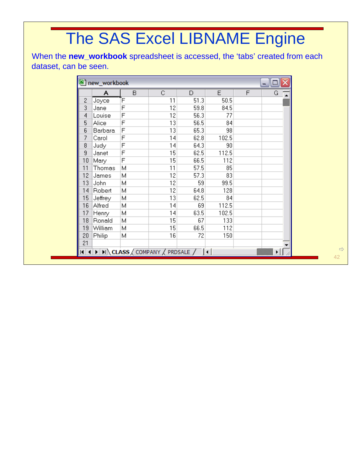When the **new\_workbook** spreadsheet is accessed, the 'tabs' created from each dataset, can be seen.

| 图 new_workbook<br>Ξ<br>$\blacksquare$ |         |   |                                   |      |       |   |   |  |  |  |  |
|---------------------------------------|---------|---|-----------------------------------|------|-------|---|---|--|--|--|--|
|                                       | A       | B | C.                                | D    | E     | F | G |  |  |  |  |
| 2                                     | Joyce   | Έ | 11                                | 51.3 | 50.5  |   |   |  |  |  |  |
| 3                                     | Jane    | F | 12                                | 59.8 | 84.5  |   |   |  |  |  |  |
| 4                                     | Louise  | F | 12                                | 56.3 | 77    |   |   |  |  |  |  |
| 5                                     | Alice   | F | 13                                | 56.5 | 84    |   |   |  |  |  |  |
| 6                                     | Barbara | F | 13                                | 65.3 | 98    |   |   |  |  |  |  |
| 7                                     | Carol   | F | 14                                | 62.8 | 102.5 |   |   |  |  |  |  |
| 8                                     | Judy    | F | 14                                | 64.3 | 90    |   |   |  |  |  |  |
| 9                                     | Janet   | F | 15                                | 62.5 | 112.5 |   |   |  |  |  |  |
| 10                                    | Mary    | F | 15                                | 66.5 | 112   |   |   |  |  |  |  |
| 11                                    | Thomas  | М | 11                                | 57.5 | 85    |   |   |  |  |  |  |
| 12                                    | James   | М | 12                                | 57.3 | 83    |   |   |  |  |  |  |
| 13                                    | John    | Μ | 12                                | 59   | 99.5  |   |   |  |  |  |  |
| 14                                    | Robert  | Μ | 12                                | 64.8 | 128   |   |   |  |  |  |  |
| 15                                    | Jeffrey | Μ | 13                                | 62.5 | 84    |   |   |  |  |  |  |
| 16                                    | Alfred  | Μ | 14                                | 69   | 112.5 |   |   |  |  |  |  |
| 17                                    | Henry   | Μ | 14                                | 63.5 | 102.5 |   |   |  |  |  |  |
| 18                                    | Ronald  | Μ | 15                                | 67   | 133   |   |   |  |  |  |  |
| 19                                    | William | Μ | 15                                | 66.5 | 112   |   |   |  |  |  |  |
| 20                                    | Philip  | Μ | 16                                | 72   | 150   |   |   |  |  |  |  |
| 21                                    |         |   |                                   |      |       |   |   |  |  |  |  |
| $\vert \vert$                         |         |   | (F) H CLASS / COMPANY / PRDSALE / |      |       |   |   |  |  |  |  |

42  $\Rightarrow$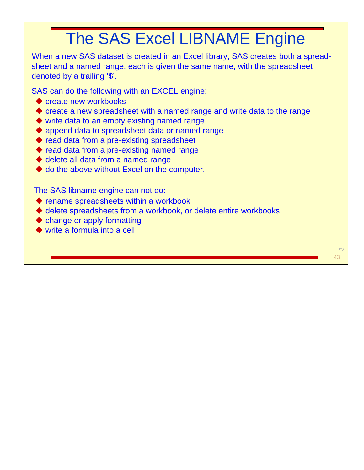When a new SAS dataset is created in an Excel library, SAS creates both a spreadsheet and a named range, each is given the same name, with the spreadsheet denoted by a trailing '\$'.

SAS can do the following with an EXCEL engine:

- $\bullet$  create new workbooks
- create a new spreadsheet with a named range and write data to the range
- ◆ write data to an empty existing named range
- ◆ append data to spreadsheet data or named range
- ◆ read data from a pre-existing spreadsheet
- ◆ read data from a pre-existing named range
- $\blacklozenge$  delete all data from a named range
- ◆ do the above without Excel on the computer.

The SAS libname engine can not do:

- ◆ rename spreadsheets within a workbook
- delete spreadsheets from a workbook, or delete entire workbooks
- change or apply formatting
- ◆ write a formula into a cell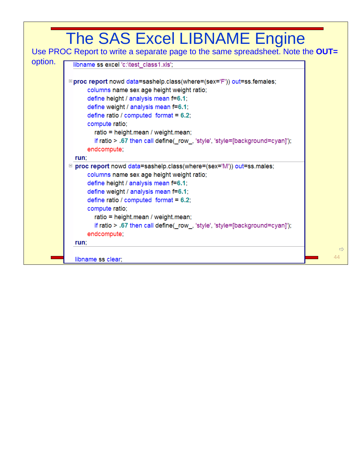